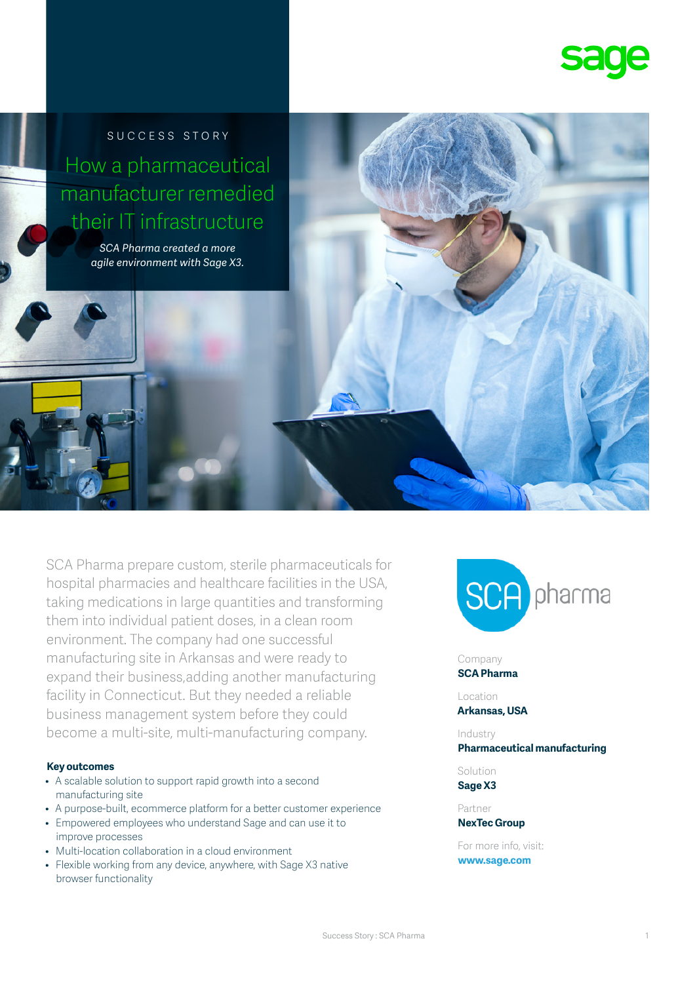

SUCCESS STORY How a pharmaceutical manufacturer remedied their IT infrastructure

> *SCA Pharma created a more agile environment with Sage X3.*



### **Key outcomes**

- A scalable solution to support rapid growth into a second manufacturing site
- A purpose-built, ecommerce platform for a better customer experience
- Empowered employees who understand Sage and can use it to improve processes
- Multi-location collaboration in a cloud environment
- Flexible working from any device, anywhere, with Sage X3 native browser functionality



### Company

**SCA Pharma**

Location **Arkansas, USA**

### Industry **Pharmaceutical manufacturing**

Solution **Sage X3**

Partner **NexTec Group**

For more info, visit: **www.sage.com**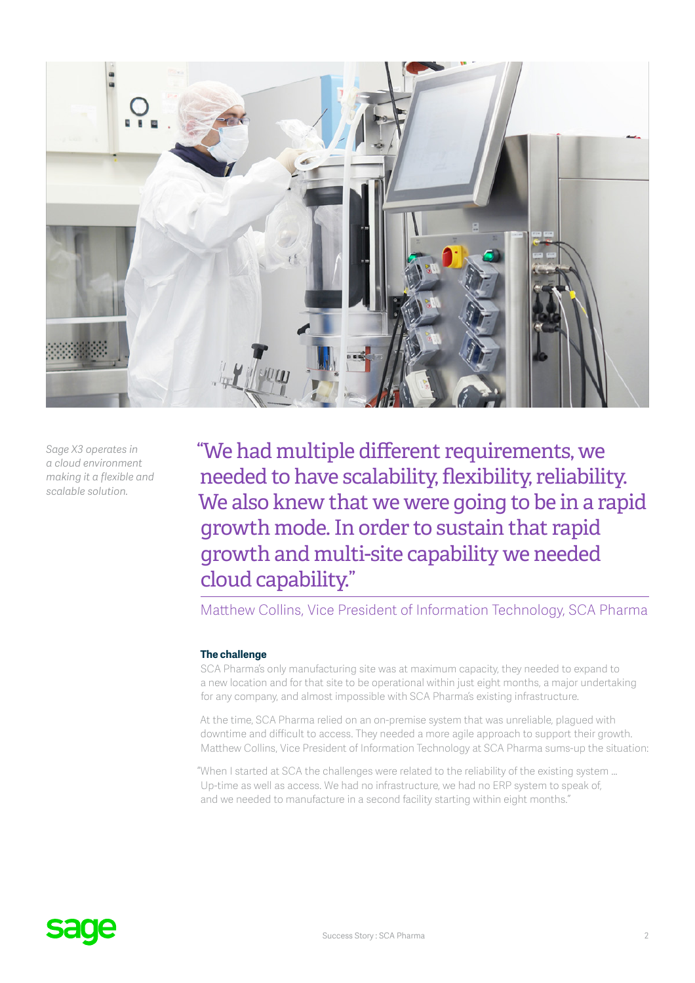

*Sage X3 operates in a cloud environment making it a flexible and scalable solution.*

"We had multiple different requirements, we needed to have scalability, flexibility, reliability. We also knew that we were going to be in a rapid growth mode. In order to sustain that rapid growth and multi-site capability we needed cloud capability."

Matthew Collins, Vice President of Information Technology, SCA Pharma

### **The challenge**

SCA Pharma's only manufacturing site was at maximum capacity, they needed to expand to a new location and for that site to be operational within just eight months, a major undertaking for any company, and almost impossible with SCA Pharma's existing infrastructure.

At the time, SCA Pharma relied on an on-premise system that was unreliable, plagued with downtime and difficult to access. They needed a more agile approach to support their growth. Matthew Collins, Vice President of Information Technology at SCA Pharma sums-up the situation:

"When I started at SCA the challenges were related to the reliability of the existing system … Up-time as well as access. We had no infrastructure, we had no ERP system to speak of, and we needed to manufacture in a second facility starting within eight months."

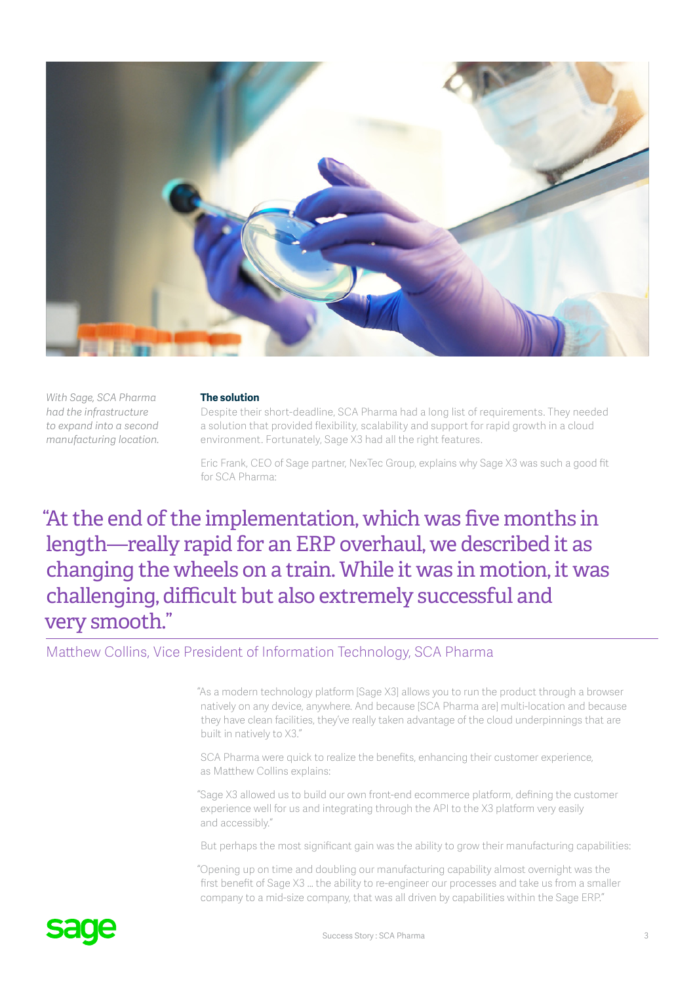

*With Sage, SCA Pharma had the infrastructure to expand into a second manufacturing location.*

### **The solution**

Despite their short-deadline, SCA Pharma had a long list of requirements. They needed a solution that provided flexibility, scalability and support for rapid growth in a cloud environment. Fortunately, Sage X3 had all the right features.

Eric Frank, CEO of Sage partner, NexTec Group, explains why Sage X3 was such a good fit for SCA Pharma:

# "At the end of the implementation, which was five months in length—really rapid for an ERP overhaul, we described it as changing the wheels on a train. While it was in motion, it was challenging, difficult but also extremely successful and very smooth."

Matthew Collins, Vice President of Information Technology, SCA Pharma

"As a modern technology platform [Sage X3] allows you to run the product through a browser natively on any device, anywhere. And because [SCA Pharma are] multi-location and because they have clean facilities, they've really taken advantage of the cloud underpinnings that are built in natively to X3."

SCA Pharma were quick to realize the benefits, enhancing their customer experience, as Matthew Collins explains:

"Sage X3 allowed us to build our own front-end ecommerce platform, defining the customer experience well for us and integrating through the API to the X3 platform very easily and accessibly."

But perhaps the most significant gain was the ability to grow their manufacturing capabilities:

"Opening up on time and doubling our manufacturing capability almost overnight was the first benefit of Sage X3 … the ability to re-engineer our processes and take us from a smaller company to a mid-size company, that was all driven by capabilities within the Sage ERP."

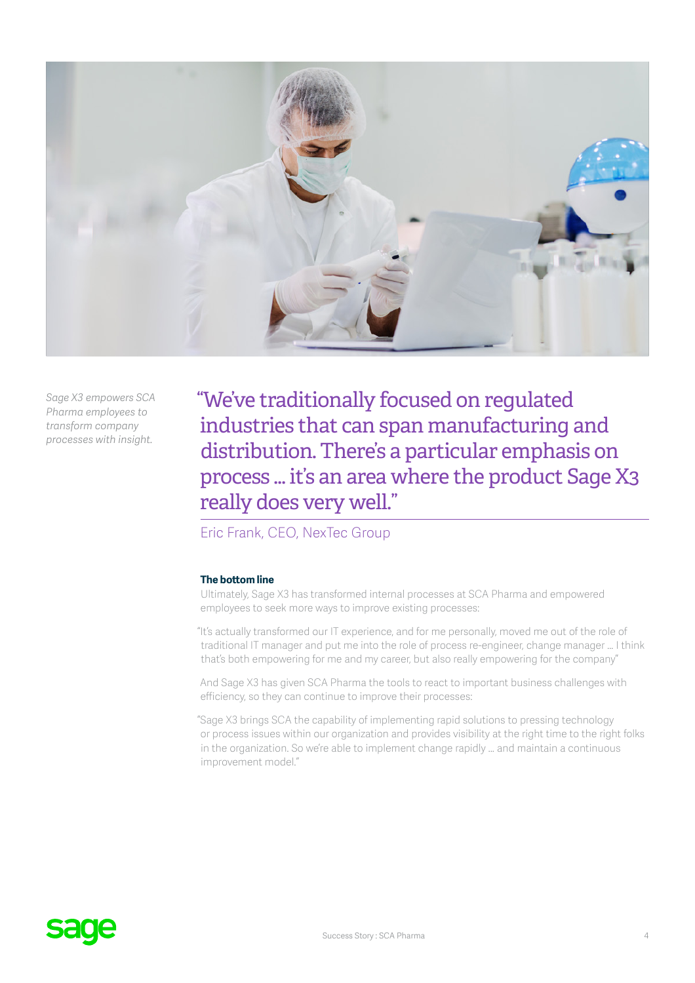

*Sage X3 empowers SCA Pharma employees to transform company processes with insight.*

"We've traditionally focused on regulated industries that can span manufacturing and distribution. There's a particular emphasis on process ... it's an area where the product Sage X3 really does very well."

## Eric Frank, CEO, NexTec Group

### **The bottom line**

Ultimately, Sage X3 has transformed internal processes at SCA Pharma and empowered employees to seek more ways to improve existing processes:

"It's actually transformed our IT experience, and for me personally, moved me out of the role of traditional IT manager and put me into the role of process re-engineer, change manager … I think that's both empowering for me and my career, but also really empowering for the company"

And Sage X3 has given SCA Pharma the tools to react to important business challenges with efficiency, so they can continue to improve their processes:

"Sage X3 brings SCA the capability of implementing rapid solutions to pressing technology or process issues within our organization and provides visibility at the right time to the right folks in the organization. So we're able to implement change rapidly … and maintain a continuous improvement model."